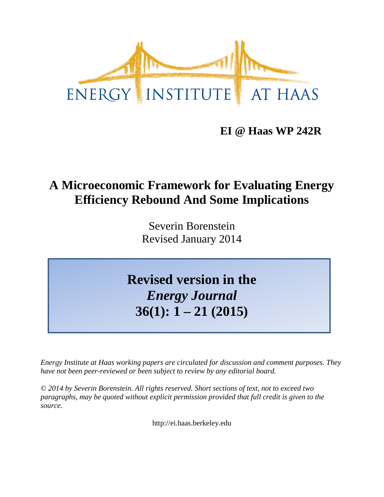

**EI @ Haas WP 242R**

# **A Microeconomic Framework for Evaluating Energy Efficiency Rebound And Some Implications**

Severin Borenstein Revised January 2014

**Revised version in the** *Energy Journal* **36(1): 1 – 21 (2015)**

*Energy Institute at Haas working papers are circulated for discussion and comment purposes. They have not been peer-reviewed or been subject to review by any editorial board.*

*© 2014 by Severin Borenstein. All rights reserved. Short sections of text, not to exceed two paragraphs, may be quoted without explicit permission provided that full credit is given to the source.*

http://ei.haas.berkeley.edu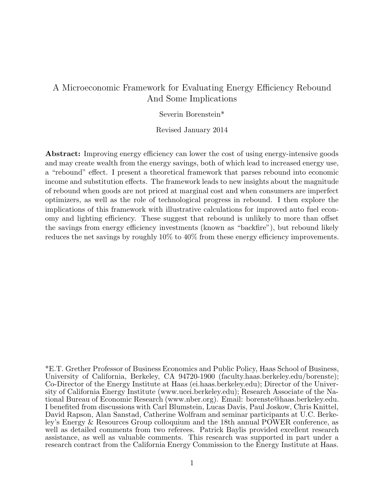# A Microeconomic Framework for Evaluating Energy Efficiency Rebound And Some Implications

## Severin Borenstein\*

#### Revised January 2014

Abstract: Improving energy efficiency can lower the cost of using energy-intensive goods and may create wealth from the energy savings, both of which lead to increased energy use, a "rebound" effect. I present a theoretical framework that parses rebound into economic income and substitution effects. The framework leads to new insights about the magnitude of rebound when goods are not priced at marginal cost and when consumers are imperfect optimizers, as well as the role of technological progress in rebound. I then explore the implications of this framework with illustrative calculations for improved auto fuel economy and lighting efficiency. These suggest that rebound is unlikely to more than offset the savings from energy efficiency investments (known as "backfire"), but rebound likely reduces the net savings by roughly  $10\%$  to  $40\%$  from these energy efficiency improvements.

<sup>\*</sup>E.T. Grether Professor of Business Economics and Public Policy, Haas School of Business, University of California, Berkeley, CA 94720-1900 (faculty.haas.berkeley.edu/borenste); Co-Director of the Energy Institute at Haas (ei.haas.berkeley.edu); Director of the University of California Energy Institute (www.ucei.berkeley.edu); Research Associate of the National Bureau of Economic Research (www.nber.org). Email: borenste@haas.berkeley.edu. I benefited from discussions with Carl Blumstein, Lucas Davis, Paul Joskow, Chris Knittel, David Rapson, Alan Sanstad, Catherine Wolfram and seminar participants at U.C. Berkeley's Energy & Resources Group colloquium and the 18th annual POWER conference, as well as detailed comments from two referees. Patrick Baylis provided excellent research assistance, as well as valuable comments. This research was supported in part under a research contract from the California Energy Commission to the Energy Institute at Haas.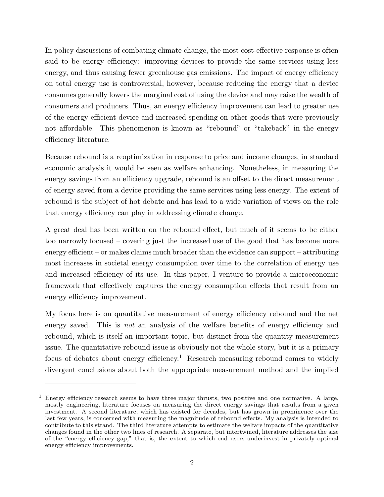In policy discussions of combating climate change, the most cost-effective response is often said to be energy efficiency: improving devices to provide the same services using less energy, and thus causing fewer greenhouse gas emissions. The impact of energy efficiency on total energy use is controversial, however, because reducing the energy that a device consumes generally lowers the marginal cost of using the device and may raise the wealth of consumers and producers. Thus, an energy efficiency improvement can lead to greater use of the energy efficient device and increased spending on other goods that were previously not affordable. This phenomenon is known as "rebound" or "takeback" in the energy efficiency literature.

Because rebound is a reoptimization in response to price and income changes, in standard economic analysis it would be seen as welfare enhancing. Nonetheless, in measuring the energy savings from an efficiency upgrade, rebound is an offset to the direct measurement of energy saved from a device providing the same services using less energy. The extent of rebound is the subject of hot debate and has lead to a wide variation of views on the role that energy efficiency can play in addressing climate change.

A great deal has been written on the rebound effect, but much of it seems to be either too narrowly focused – covering just the increased use of the good that has become more energy efficient – or makes claims much broader than the evidence can support – attributing most increases in societal energy consumption over time to the correlation of energy use and increased efficiency of its use. In this paper, I venture to provide a microeconomic framework that effectively captures the energy consumption effects that result from an energy efficiency improvement.

My focus here is on quantitative measurement of energy efficiency rebound and the net energy saved. This is *not* an analysis of the welfare benefits of energy efficiency and rebound, which is itself an important topic, but distinct from the quantity measurement issue. The quantitative rebound issue is obviously not the whole story, but it is a primary focus of debates about energy efficiency.<sup>1</sup> Research measuring rebound comes to widely divergent conclusions about both the appropriate measurement method and the implied

<sup>1</sup> Energy efficiency research seems to have three major thrusts, two positive and one normative. A large, mostly engineering, literature focuses on measuring the direct energy savings that results from a given investment. A second literature, which has existed for decades, but has grown in prominence over the last few years, is concerned with measuring the magnitude of rebound effects. My analysis is intended to contribute to this strand. The third literature attempts to estimate the welfare impacts of the quantitative changes found in the other two lines of research. A separate, but intertwined, literature addresses the size of the "energy efficiency gap," that is, the extent to which end users underinvest in privately optimal energy efficiency improvements.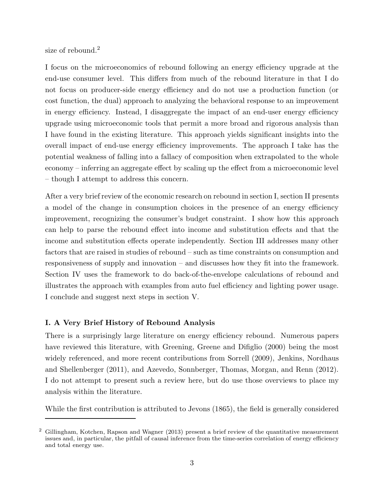size of rebound.<sup>2</sup>

I focus on the microeconomics of rebound following an energy efficiency upgrade at the end-use consumer level. This differs from much of the rebound literature in that I do not focus on producer-side energy efficiency and do not use a production function (or cost function, the dual) approach to analyzing the behavioral response to an improvement in energy efficiency. Instead, I disaggregate the impact of an end-user energy efficiency upgrade using microeconomic tools that permit a more broad and rigorous analysis than I have found in the existing literature. This approach yields significant insights into the overall impact of end-use energy efficiency improvements. The approach I take has the potential weakness of falling into a fallacy of composition when extrapolated to the whole economy – inferring an aggregate effect by scaling up the effect from a microeconomic level – though I attempt to address this concern.

After a very brief review of the economic research on rebound in section I, section II presents a model of the change in consumption choices in the presence of an energy efficiency improvement, recognizing the consumer's budget constraint. I show how this approach can help to parse the rebound effect into income and substitution effects and that the income and substitution effects operate independently. Section III addresses many other factors that are raised in studies of rebound – such as time constraints on consumption and responsiveness of supply and innovation – and discusses how they fit into the framework. Section IV uses the framework to do back-of-the-envelope calculations of rebound and illustrates the approach with examples from auto fuel efficiency and lighting power usage. I conclude and suggest next steps in section V.

# I. A Very Brief History of Rebound Analysis

There is a surprisingly large literature on energy efficiency rebound. Numerous papers have reviewed this literature, with Greening, Greene and Difiglio (2000) being the most widely referenced, and more recent contributions from Sorrell (2009), Jenkins, Nordhaus and Shellenberger (2011), and Azevedo, Sonnberger, Thomas, Morgan, and Renn (2012). I do not attempt to present such a review here, but do use those overviews to place my analysis within the literature.

While the first contribution is attributed to Jevons (1865), the field is generally considered

<sup>2</sup> Gillingham, Kotchen, Rapson and Wagner (2013) present a brief review of the quantitative measurement issues and, in particular, the pitfall of causal inference from the time-series correlation of energy efficiency and total energy use.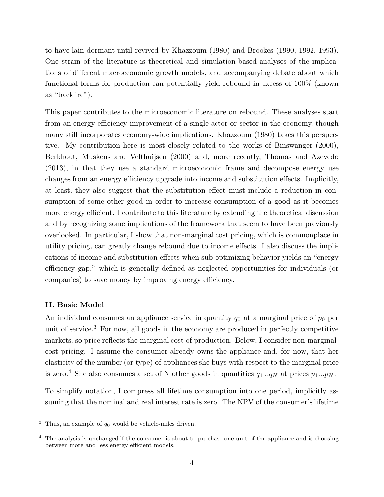to have lain dormant until revived by Khazzoum (1980) and Brookes (1990, 1992, 1993). One strain of the literature is theoretical and simulation-based analyses of the implications of different macroeconomic growth models, and accompanying debate about which functional forms for production can potentially yield rebound in excess of 100% (known as "backfire").

This paper contributes to the microeconomic literature on rebound. These analyses start from an energy efficiency improvement of a single actor or sector in the economy, though many still incorporates economy-wide implications. Khazzoum (1980) takes this perspective. My contribution here is most closely related to the works of Binswanger (2000), Berkhout, Muskens and Velthuijsen (2000) and, more recently, Thomas and Azevedo (2013), in that they use a standard microeconomic frame and decompose energy use changes from an energy efficiency upgrade into income and substitution effects. Implicitly, at least, they also suggest that the substitution effect must include a reduction in consumption of some other good in order to increase consumption of a good as it becomes more energy efficient. I contribute to this literature by extending the theoretical discussion and by recognizing some implications of the framework that seem to have been previously overlooked. In particular, I show that non-marginal cost pricing, which is commonplace in utility pricing, can greatly change rebound due to income effects. I also discuss the implications of income and substitution effects when sub-optimizing behavior yields an "energy efficiency gap," which is generally defined as neglected opportunities for individuals (or companies) to save money by improving energy efficiency.

#### II. Basic Model

An individual consumes an appliance service in quantity  $q_0$  at a marginal price of  $p_0$  per unit of service.<sup>3</sup> For now, all goods in the economy are produced in perfectly competitive markets, so price reflects the marginal cost of production. Below, I consider non-marginalcost pricing. I assume the consumer already owns the appliance and, for now, that her elasticity of the number (or type) of appliances she buys with respect to the marginal price is zero.<sup>4</sup> She also consumes a set of N other goods in quantities  $q_1...q_N$  at prices  $p_1...p_N$ .

To simplify notation, I compress all lifetime consumption into one period, implicitly assuming that the nominal and real interest rate is zero. The NPV of the consumer's lifetime

<sup>&</sup>lt;sup>3</sup> Thus, an example of  $q_0$  would be vehicle-miles driven.

<sup>&</sup>lt;sup>4</sup> The analysis is unchanged if the consumer is about to purchase one unit of the appliance and is choosing between more and less energy efficient models.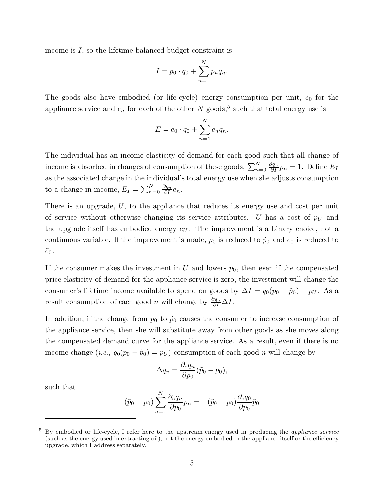income is I, so the lifetime balanced budget constraint is

$$
I = p_0 \cdot q_0 + \sum_{n=1}^{N} p_n q_n.
$$

The goods also have embodied (or life-cycle) energy consumption per unit,  $e_0$  for the appliance service and  $e_n$  for each of the other N goods,<sup>5</sup> such that total energy use is

$$
E = e_0 \cdot q_0 + \sum_{n=1}^{N} e_n q_n.
$$

The individual has an income elasticity of demand for each good such that all change of income is absorbed in changes of consumption of these goods,  $\sum_{n=0}^{N} \frac{\partial q_n}{\partial I} p_n = 1$ . Define  $E_I$ as the associated change in the individual's total energy use when she adjusts consumption to a change in income,  $E_I = \sum_{n=0}^{N} \frac{\partial q_n}{\partial I} e_n$ .

There is an upgrade, U, to the appliance that reduces its energy use and cost per unit of service without otherwise changing its service attributes. U has a cost of  $p_U$  and the upgrade itself has embodied energy  $e_U$ . The improvement is a binary choice, not a continuous variable. If the improvement is made,  $p_0$  is reduced to  $\tilde{p}_0$  and  $e_0$  is reduced to  $\tilde{e}_0$ .

If the consumer makes the investment in U and lowers  $p_0$ , then even if the compensated price elasticity of demand for the appliance service is zero, the investment will change the consumer's lifetime income available to spend on goods by  $\Delta I = q_0(p_0 - \tilde{p}_0) - p_U$ . As a result consumption of each good *n* will change by  $\frac{\partial q_n}{\partial I} \Delta I$ .

In addition, if the change from  $p_0$  to  $\tilde{p}_0$  causes the consumer to increase consumption of the appliance service, then she will substitute away from other goods as she moves along the compensated demand curve for the appliance service. As a result, even if there is no income change (*i.e.*,  $q_0(p_0 - \tilde{p}_0) = p_U$ ) consumption of each good *n* will change by

$$
\Delta q_n = \frac{\partial_c q_n}{\partial p_0} (\tilde{p}_0 - p_0),
$$

such that

$$
(\tilde{p}_0 - p_0) \sum_{n=1}^{N} \frac{\partial_c q_n}{\partial p_0} p_n = -(\tilde{p}_0 - p_0) \frac{\partial_c q_0}{\partial p_0} \tilde{p}_0
$$

<sup>5</sup> By embodied or life-cycle, I refer here to the upstream energy used in producing the appliance service (such as the energy used in extracting oil), not the energy embodied in the appliance itself or the efficiency upgrade, which I address separately.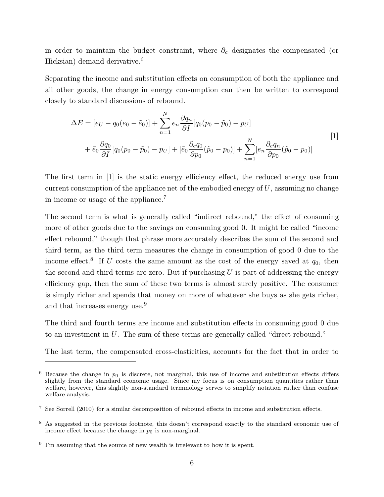in order to maintain the budget constraint, where  $\partial_c$  designates the compensated (or Hicksian) demand derivative.<sup>6</sup>

Separating the income and substitution effects on consumption of both the appliance and all other goods, the change in energy consumption can then be written to correspond closely to standard discussions of rebound.

$$
\Delta E = [e_U - q_0(e_0 - \tilde{e}_0)] + \sum_{n=1}^{N} e_n \frac{\partial q_n}{\partial I} [q_0(p_0 - \tilde{p}_0) - p_U] + \tilde{e}_0 \frac{\partial q_0}{\partial I} [q_0(p_0 - \tilde{p}_0) - p_U] + [\tilde{e}_0 \frac{\partial_c q_0}{\partial p_0} (\tilde{p}_0 - p_0)] + \sum_{n=1}^{N} [e_n \frac{\partial_c q_n}{\partial p_0} (\tilde{p}_0 - p_0)]
$$
\n[1]

The first term in [1] is the static energy efficiency effect, the reduced energy use from current consumption of the appliance net of the embodied energy of  $U$ , assuming no change in income or usage of the appliance.<sup>7</sup>

The second term is what is generally called "indirect rebound," the effect of consuming more of other goods due to the savings on consuming good 0. It might be called "income effect rebound," though that phrase more accurately describes the sum of the second and third term, as the third term measures the change in consumption of good 0 due to the income effect.<sup>8</sup> If U costs the same amount as the cost of the energy saved at  $q_0$ , then the second and third terms are zero. But if purchasing  $U$  is part of addressing the energy efficiency gap, then the sum of these two terms is almost surely positive. The consumer is simply richer and spends that money on more of whatever she buys as she gets richer, and that increases energy use.<sup>9</sup>

The third and fourth terms are income and substitution effects in consuming good 0 due to an investment in U. The sum of these terms are generally called "direct rebound."

The last term, the compensated cross-elasticities, accounts for the fact that in order to

 $6$  Because the change in  $p_0$  is discrete, not marginal, this use of income and substitution effects differs slightly from the standard economic usage. Since my focus is on consumption quantities rather than welfare, however, this slightly non-standard terminology serves to simplify notation rather than confuse welfare analysis.

<sup>7</sup> See Sorrell (2010) for a similar decomposition of rebound effects in income and substitution effects.

<sup>8</sup> As suggested in the previous footnote, this doesn't correspond exactly to the standard economic use of income effect because the change in  $p_0$  is non-marginal.

<sup>&</sup>lt;sup>9</sup> I'm assuming that the source of new wealth is irrelevant to how it is spent.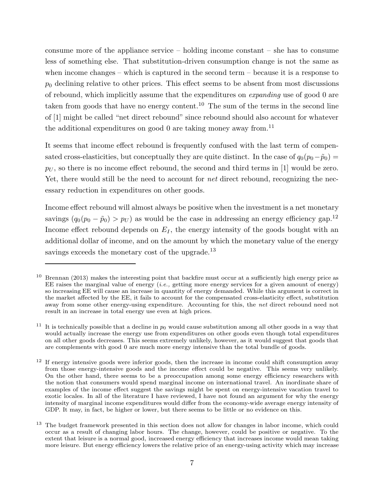consume more of the appliance service – holding income constant – she has to consume less of something else. That substitution-driven consumption change is not the same as when income changes – which is captured in the second term – because it is a response to  $p_0$  declining relative to other prices. This effect seems to be absent from most discussions of rebound, which implicitly assume that the expenditures on expanding use of good 0 are taken from goods that have no energy content.<sup>10</sup> The sum of the terms in the second line of [1] might be called "net direct rebound" since rebound should also account for whatever the additional expenditures on good 0 are taking money away from.<sup>11</sup>

It seems that income effect rebound is frequently confused with the last term of compensated cross-elasticities, but conceptually they are quite distinct. In the case of  $q_0(p_0-\tilde{p}_0)$  =  $p_U$ , so there is no income effect rebound, the second and third terms in [1] would be zero. Yet, there would still be the need to account for *net* direct rebound, recognizing the necessary reduction in expenditures on other goods.

Income effect rebound will almost always be positive when the investment is a net monetary savings  $(q_0(p_0 - \tilde{p}_0) > p_U)$  as would be the case in addressing an energy efficiency gap.<sup>12</sup> Income effect rebound depends on  $E_I$ , the energy intensity of the goods bought with an additional dollar of income, and on the amount by which the monetary value of the energy savings exceeds the monetary cost of the upgrade.<sup>13</sup>

<sup>10</sup> Brennan (2013) makes the interesting point that backfire must occur at a sufficiently high energy price as EE raises the marginal value of energy  $(i.e.,$  getting more energy services for a given amount of energy) so increasing EE will cause an increase in quantity of energy demanded. While this argument is correct in the market affected by the EE, it fails to account for the compensated cross-elasticity effect, substitution away from some other energy-using expenditure. Accounting for this, the net direct rebound need not result in an increase in total energy use even at high prices.

<sup>&</sup>lt;sup>11</sup> It is technically possible that a decline in  $p_0$  would cause substitution among all other goods in a way that would actually increase the energy use from expenditures on other goods even though total expenditures on all other goods decreases. This seems extremely unlikely, however, as it would suggest that goods that are complements with good 0 are much more energy intensive than the total bundle of goods.

 $12$  If energy intensive goods were inferior goods, then the increase in income could shift consumption away from those energy-intensive goods and the income effect could be negative. This seems very unlikely. On the other hand, there seems to be a preoccupation among some energy efficiency researchers with the notion that consumers would spend marginal income on international travel. An inordinate share of examples of the income effect suggest the savings might be spent on energy-intensive vacation travel to exotic locales. In all of the literature I have reviewed, I have not found an argument for why the energy intensity of marginal income expenditures would differ from the economy-wide average energy intensity of GDP. It may, in fact, be higher or lower, but there seems to be little or no evidence on this.

<sup>13</sup> The budget framework presented in this section does not allow for changes in labor income, which could occur as a result of changing labor hours. The change, however, could be positive or negative. To the extent that leisure is a normal good, increased energy efficiency that increases income would mean taking more leisure. But energy efficiency lowers the relative price of an energy-using activity which may increase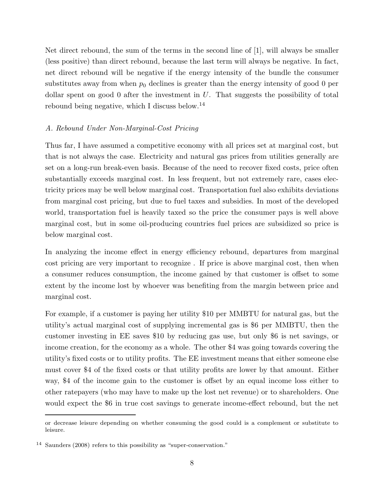Net direct rebound, the sum of the terms in the second line of [1], will always be smaller (less positive) than direct rebound, because the last term will always be negative. In fact, net direct rebound will be negative if the energy intensity of the bundle the consumer substitutes away from when  $p_0$  declines is greater than the energy intensity of good 0 per dollar spent on good 0 after the investment in  $U$ . That suggests the possibility of total rebound being negative, which I discuss below.<sup>14</sup>

## A. Rebound Under Non-Marginal-Cost Pricing

Thus far, I have assumed a competitive economy with all prices set at marginal cost, but that is not always the case. Electricity and natural gas prices from utilities generally are set on a long-run break-even basis. Because of the need to recover fixed costs, price often substantially exceeds marginal cost. In less frequent, but not extremely rare, cases electricity prices may be well below marginal cost. Transportation fuel also exhibits deviations from marginal cost pricing, but due to fuel taxes and subsidies. In most of the developed world, transportation fuel is heavily taxed so the price the consumer pays is well above marginal cost, but in some oil-producing countries fuel prices are subsidized so price is below marginal cost.

In analyzing the income effect in energy efficiency rebound, departures from marginal cost pricing are very important to recognize . If price is above marginal cost, then when a consumer reduces consumption, the income gained by that customer is offset to some extent by the income lost by whoever was benefiting from the margin between price and marginal cost.

For example, if a customer is paying her utility \$10 per MMBTU for natural gas, but the utility's actual marginal cost of supplying incremental gas is \$6 per MMBTU, then the customer investing in EE saves \$10 by reducing gas use, but only \$6 is net savings, or income creation, for the economy as a whole. The other \$4 was going towards covering the utility's fixed costs or to utility profits. The EE investment means that either someone else must cover \$4 of the fixed costs or that utility profits are lower by that amount. Either way, \$4 of the income gain to the customer is offset by an equal income loss either to other ratepayers (who may have to make up the lost net revenue) or to shareholders. One would expect the \$6 in true cost savings to generate income-effect rebound, but the net

or decrease leisure depending on whether consuming the good could is a complement or substitute to leisure.

<sup>14</sup> Saunders (2008) refers to this possibility as "super-conservation."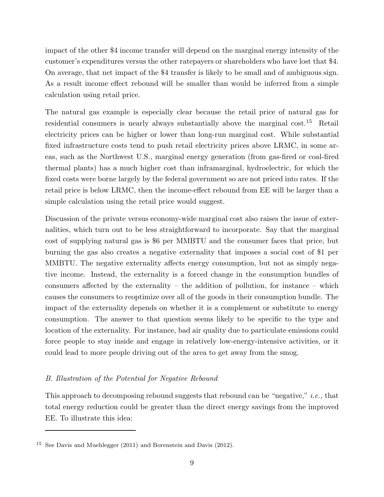impact of the other \$4 income transfer will depend on the marginal energy intensity of the customer's expenditures versus the other ratepayers or shareholders who have lost that \$4. On average, that net impact of the \$4 transfer is likely to be small and of ambiguous sign. As a result income effect rebound will be smaller than would be inferred from a simple calculation using retail price.

The natural gas example is especially clear because the retail price of natural gas for residential consumers is nearly always substantially above the marginal cost.<sup>15</sup> Retail electricity prices can be higher or lower than long-run marginal cost. While substantial fixed infrastructure costs tend to push retail electricity prices above LRMC, in some areas, such as the Northwest U.S., marginal energy generation (from gas-fired or coal-fired thermal plants) has a much higher cost than inframarginal, hydroelectric, for which the fixed costs were borne largely by the federal government so are not priced into rates. If the retail price is below LRMC, then the income-effect rebound from EE will be larger than a simple calculation using the retail price would suggest.

Discussion of the private versus economy-wide marginal cost also raises the issue of externalities, which turn out to be less straightforward to incorporate. Say that the marginal cost of supplying natural gas is \$6 per MMBTU and the consumer faces that price, but burning the gas also creates a negative externality that imposes a social cost of \$1 per MMBTU. The negative externality affects energy consumption, but not as simply negative income. Instead, the externality is a forced change in the consumption bundles of consumers affected by the externality – the addition of pollution, for instance – which causes the consumers to reoptimize over all of the goods in their consumption bundle. The impact of the externality depends on whether it is a complement or substitute to energy consumption. The answer to that question seems likely to be specific to the type and location of the externality. For instance, bad air quality due to particulate emissions could force people to stay inside and engage in relatively low-energy-intensive activities, or it could lead to more people driving out of the area to get away from the smog.

## B. Illustration of the Potential for Negative Rebound

This approach to decomposing rebound suggests that rebound can be "negative," i.e., that total energy reduction could be greater than the direct energy savings from the improved EE. To illustrate this idea:

<sup>15</sup> See Davis and Muehlegger (2011) and Borenstein and Davis (2012).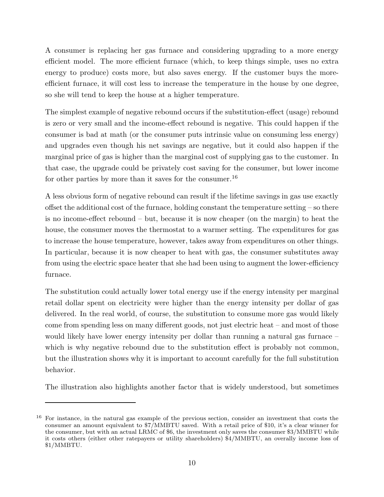A consumer is replacing her gas furnace and considering upgrading to a more energy efficient model. The more efficient furnace (which, to keep things simple, uses no extra energy to produce) costs more, but also saves energy. If the customer buys the moreefficient furnace, it will cost less to increase the temperature in the house by one degree, so she will tend to keep the house at a higher temperature.

The simplest example of negative rebound occurs if the substitution-effect (usage) rebound is zero or very small and the income-effect rebound is negative. This could happen if the consumer is bad at math (or the consumer puts intrinsic value on consuming less energy) and upgrades even though his net savings are negative, but it could also happen if the marginal price of gas is higher than the marginal cost of supplying gas to the customer. In that case, the upgrade could be privately cost saving for the consumer, but lower income for other parties by more than it saves for the consumer.<sup>16</sup>

A less obvious form of negative rebound can result if the lifetime savings in gas use exactly offset the additional cost of the furnace, holding constant the temperature setting  $-$  so there is no income-effect rebound – but, because it is now cheaper (on the margin) to heat the house, the consumer moves the thermostat to a warmer setting. The expenditures for gas to increase the house temperature, however, takes away from expenditures on other things. In particular, because it is now cheaper to heat with gas, the consumer substitutes away from using the electric space heater that she had been using to augment the lower-efficiency furnace.

The substitution could actually lower total energy use if the energy intensity per marginal retail dollar spent on electricity were higher than the energy intensity per dollar of gas delivered. In the real world, of course, the substitution to consume more gas would likely come from spending less on many different goods, not just electric heat – and most of those would likely have lower energy intensity per dollar than running a natural gas furnace – which is why negative rebound due to the substitution effect is probably not common, but the illustration shows why it is important to account carefully for the full substitution behavior.

The illustration also highlights another factor that is widely understood, but sometimes

<sup>&</sup>lt;sup>16</sup> For instance, in the natural gas example of the previous section, consider an investment that costs the consumer an amount equivalent to \$7/MMBTU saved. With a retail price of \$10, it's a clear winner for the consumer, but with an actual LRMC of \$6, the investment only saves the consumer \$3/MMBTU while it costs others (either other ratepayers or utility shareholders) \$4/MMBTU, an overally income loss of \$1/MMBTU.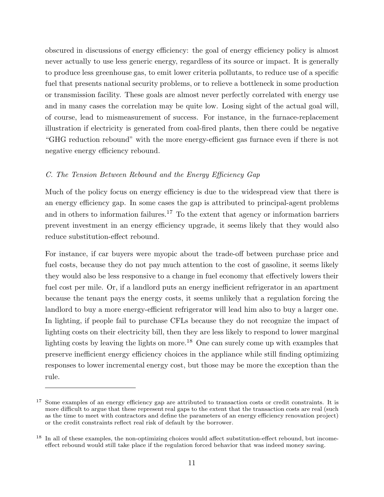obscured in discussions of energy efficiency: the goal of energy efficiency policy is almost never actually to use less generic energy, regardless of its source or impact. It is generally to produce less greenhouse gas, to emit lower criteria pollutants, to reduce use of a specific fuel that presents national security problems, or to relieve a bottleneck in some production or transmission facility. These goals are almost never perfectly correlated with energy use and in many cases the correlation may be quite low. Losing sight of the actual goal will, of course, lead to mismeasurement of success. For instance, in the furnace-replacement illustration if electricity is generated from coal-fired plants, then there could be negative "GHG reduction rebound" with the more energy-efficient gas furnace even if there is not negative energy efficiency rebound.

# C. The Tension Between Rebound and the Energy Efficiency Gap

Much of the policy focus on energy efficiency is due to the widespread view that there is an energy efficiency gap. In some cases the gap is attributed to principal-agent problems and in others to information failures.<sup>17</sup> To the extent that agency or information barriers prevent investment in an energy efficiency upgrade, it seems likely that they would also reduce substitution-effect rebound.

For instance, if car buyers were myopic about the trade-off between purchase price and fuel costs, because they do not pay much attention to the cost of gasoline, it seems likely they would also be less responsive to a change in fuel economy that effectively lowers their fuel cost per mile. Or, if a landlord puts an energy inefficient refrigerator in an apartment because the tenant pays the energy costs, it seems unlikely that a regulation forcing the landlord to buy a more energy-efficient refrigerator will lead him also to buy a larger one. In lighting, if people fail to purchase CFLs because they do not recognize the impact of lighting costs on their electricity bill, then they are less likely to respond to lower marginal lighting costs by leaving the lights on more.<sup>18</sup> One can surely come up with examples that preserve inefficient energy efficiency choices in the appliance while still finding optimizing responses to lower incremental energy cost, but those may be more the exception than the rule.

<sup>&</sup>lt;sup>17</sup> Some examples of an energy efficiency gap are attributed to transaction costs or credit constraints. It is more difficult to argue that these represent real gaps to the extent that the transaction costs are real (such as the time to meet with contractors and define the parameters of an energy efficiency renovation project) or the credit constraints reflect real risk of default by the borrower.

<sup>&</sup>lt;sup>18</sup> In all of these examples, the non-optimizing choices would affect substitution-effect rebound, but incomeeffect rebound would still take place if the regulation forced behavior that was indeed money saving.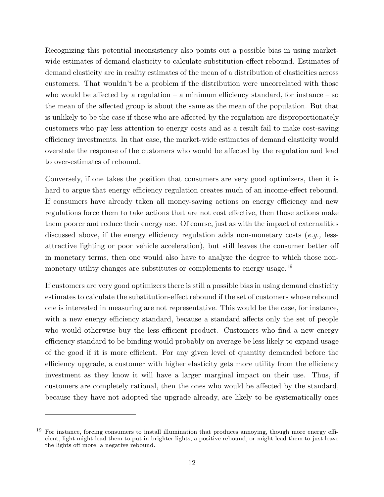Recognizing this potential inconsistency also points out a possible bias in using marketwide estimates of demand elasticity to calculate substitution-effect rebound. Estimates of demand elasticity are in reality estimates of the mean of a distribution of elasticities across customers. That wouldn't be a problem if the distribution were uncorrelated with those who would be affected by a regulation – a minimum efficiency standard, for instance – so the mean of the affected group is about the same as the mean of the population. But that is unlikely to be the case if those who are affected by the regulation are disproportionately customers who pay less attention to energy costs and as a result fail to make cost-saving efficiency investments. In that case, the market-wide estimates of demand elasticity would overstate the response of the customers who would be affected by the regulation and lead to over-estimates of rebound.

Conversely, if one takes the position that consumers are very good optimizers, then it is hard to argue that energy efficiency regulation creates much of an income-effect rebound. If consumers have already taken all money-saving actions on energy efficiency and new regulations force them to take actions that are not cost effective, then those actions make them poorer and reduce their energy use. Of course, just as with the impact of externalities discussed above, if the energy efficiency regulation adds non-monetary costs  $(e.g.,$  lessattractive lighting or poor vehicle acceleration), but still leaves the consumer better off in monetary terms, then one would also have to analyze the degree to which those nonmonetary utility changes are substitutes or complements to energy usage.<sup>19</sup>

If customers are very good optimizers there is still a possible bias in using demand elasticity estimates to calculate the substitution-effect rebound if the set of customers whose rebound one is interested in measuring are not representative. This would be the case, for instance, with a new energy efficiency standard, because a standard affects only the set of people who would otherwise buy the less efficient product. Customers who find a new energy efficiency standard to be binding would probably on average be less likely to expand usage of the good if it is more efficient. For any given level of quantity demanded before the efficiency upgrade, a customer with higher elasticity gets more utility from the efficiency investment as they know it will have a larger marginal impact on their use. Thus, if customers are completely rational, then the ones who would be affected by the standard, because they have not adopted the upgrade already, are likely to be systematically ones

For instance, forcing consumers to install illumination that produces annoying, though more energy efficient, light might lead them to put in brighter lights, a positive rebound, or might lead them to just leave the lights off more, a negative rebound.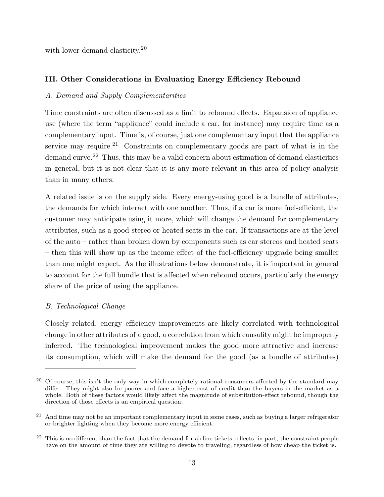with lower demand elasticity.<sup>20</sup>

# III. Other Considerations in Evaluating Energy Efficiency Rebound

# A. Demand and Supply Complementarities

Time constraints are often discussed as a limit to rebound effects. Expansion of appliance use (where the term "appliance" could include a car, for instance) may require time as a complementary input. Time is, of course, just one complementary input that the appliance service may require.<sup>21</sup> Constraints on complementary goods are part of what is in the demand curve.<sup>22</sup> Thus, this may be a valid concern about estimation of demand elasticities in general, but it is not clear that it is any more relevant in this area of policy analysis than in many others.

A related issue is on the supply side. Every energy-using good is a bundle of attributes, the demands for which interact with one another. Thus, if a car is more fuel-efficient, the customer may anticipate using it more, which will change the demand for complementary attributes, such as a good stereo or heated seats in the car. If transactions are at the level of the auto – rather than broken down by components such as car stereos and heated seats – then this will show up as the income effect of the fuel-efficiency upgrade being smaller than one might expect. As the illustrations below demonstrate, it is important in general to account for the full bundle that is affected when rebound occurs, particularly the energy share of the price of using the appliance.

# B. Technological Change

Closely related, energy efficiency improvements are likely correlated with technological change in other attributes of a good, a correlation from which causality might be improperly inferred. The technological improvement makes the good more attractive and increase its consumption, which will make the demand for the good (as a bundle of attributes)

<sup>&</sup>lt;sup>20</sup> Of course, this isn't the only way in which completely rational consumers affected by the standard may differ. They might also be poorer and face a higher cost of credit than the buyers in the market as a whole. Both of these factors would likely affect the magnitude of substitution-effect rebound, though the direction of those effects is an empirical question.

<sup>&</sup>lt;sup>21</sup> And time may not be an important complementary input in some cases, such as buying a larger refrigerator or brighter lighting when they become more energy efficient.

 $22$  This is no different than the fact that the demand for airline tickets reflects, in part, the constraint people have on the amount of time they are willing to devote to traveling, regardless of how cheap the ticket is.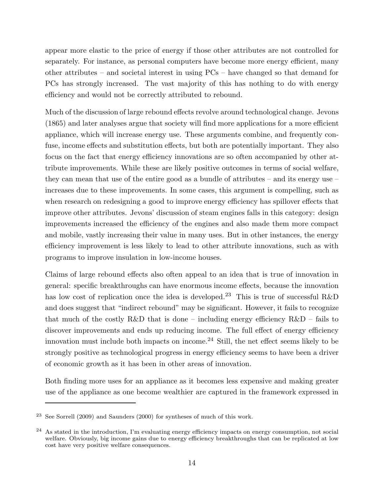appear more elastic to the price of energy if those other attributes are not controlled for separately. For instance, as personal computers have become more energy efficient, many other attributes – and societal interest in using PCs – have changed so that demand for PCs has strongly increased. The vast majority of this has nothing to do with energy efficiency and would not be correctly attributed to rebound.

Much of the discussion of large rebound effects revolve around technological change. Jevons (1865) and later analyses argue that society will find more applications for a more efficient appliance, which will increase energy use. These arguments combine, and frequently confuse, income effects and substitution effects, but both are potentially important. They also focus on the fact that energy efficiency innovations are so often accompanied by other attribute improvements. While these are likely positive outcomes in terms of social welfare, they can mean that use of the entire good as a bundle of attributes – and its energy use – increases due to these improvements. In some cases, this argument is compelling, such as when research on redesigning a good to improve energy efficiency has spillover effects that improve other attributes. Jevons' discussion of steam engines falls in this category: design improvements increased the efficiency of the engines and also made them more compact and mobile, vastly increasing their value in many uses. But in other instances, the energy efficiency improvement is less likely to lead to other attribute innovations, such as with programs to improve insulation in low-income houses.

Claims of large rebound effects also often appeal to an idea that is true of innovation in general: specific breakthroughs can have enormous income effects, because the innovation has low cost of replication once the idea is developed.<sup>23</sup> This is true of successful R&D and does suggest that "indirect rebound" may be significant. However, it fails to recognize that much of the costly R&D that is done – including energy efficiency R&D – fails to discover improvements and ends up reducing income. The full effect of energy efficiency innovation must include both impacts on income. $24$  Still, the net effect seems likely to be strongly positive as technological progress in energy efficiency seems to have been a driver of economic growth as it has been in other areas of innovation.

Both finding more uses for an appliance as it becomes less expensive and making greater use of the appliance as one become wealthier are captured in the framework expressed in

<sup>23</sup> See Sorrell (2009) and Saunders (2000) for syntheses of much of this work.

<sup>24</sup> As stated in the introduction, I'm evaluating energy efficiency impacts on energy consumption, not social welfare. Obviously, big income gains due to energy efficiency breakthroughs that can be replicated at low cost have very positive welfare consequences.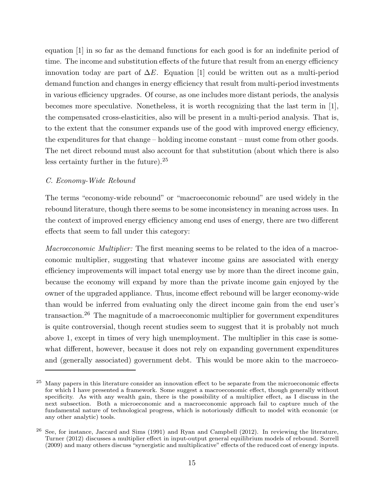equation [1] in so far as the demand functions for each good is for an indefinite period of time. The income and substitution effects of the future that result from an energy efficiency innovation today are part of  $\Delta E$ . Equation [1] could be written out as a multi-period demand function and changes in energy efficiency that result from multi-period investments in various efficiency upgrades. Of course, as one includes more distant periods, the analysis becomes more speculative. Nonetheless, it is worth recognizing that the last term in [1], the compensated cross-elasticities, also will be present in a multi-period analysis. That is, to the extent that the consumer expands use of the good with improved energy efficiency, the expenditures for that change – holding income constant – must come from other goods. The net direct rebound must also account for that substitution (about which there is also less certainty further in the future).<sup>25</sup>

## C. Economy-Wide Rebound

The terms "economy-wide rebound" or "macroeconomic rebound" are used widely in the rebound literature, though there seems to be some inconsistency in meaning across uses. In the context of improved energy efficiency among end uses of energy, there are two different effects that seem to fall under this category:

Macroeconomic Multiplier: The first meaning seems to be related to the idea of a macroeconomic multiplier, suggesting that whatever income gains are associated with energy efficiency improvements will impact total energy use by more than the direct income gain, because the economy will expand by more than the private income gain enjoyed by the owner of the upgraded appliance. Thus, income effect rebound will be larger economy-wide than would be inferred from evaluating only the direct income gain from the end user's transaction.<sup>26</sup> The magnitude of a macroeconomic multiplier for government expenditures is quite controversial, though recent studies seem to suggest that it is probably not much above 1, except in times of very high unemployment. The multiplier in this case is somewhat different, however, because it does not rely on expanding government expenditures and (generally associated) government debt. This would be more akin to the macroeco-

<sup>&</sup>lt;sup>25</sup> Many papers in this literature consider an innovation effect to be separate from the microeconomic effects for which I have presented a framework. Some suggest a macroeconomic effect, though generally without specificity. As with any wealth gain, there is the possibility of a multiplier effect, as I discuss in the next subsection. Both a microeconomic and a macroeconomic approach fail to capture much of the fundamental nature of technological progress, which is notoriously difficult to model with economic (or any other analytic) tools.

<sup>26</sup> See, for instance, Jaccard and Sims (1991) and Ryan and Campbell (2012). In reviewing the literature, Turner (2012) discusses a multiplier effect in input-output general equilibrium models of rebound. Sorrell (2009) and many others discuss "synergistic and multiplicative" effects of the reduced cost of energy inputs.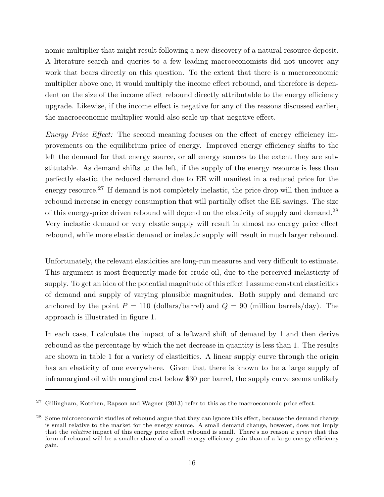nomic multiplier that might result following a new discovery of a natural resource deposit. A literature search and queries to a few leading macroeconomists did not uncover any work that bears directly on this question. To the extent that there is a macroeconomic multiplier above one, it would multiply the income effect rebound, and therefore is dependent on the size of the income effect rebound directly attributable to the energy efficiency upgrade. Likewise, if the income effect is negative for any of the reasons discussed earlier, the macroeconomic multiplier would also scale up that negative effect.

Energy Price Effect: The second meaning focuses on the effect of energy efficiency improvements on the equilibrium price of energy. Improved energy efficiency shifts to the left the demand for that energy source, or all energy sources to the extent they are substitutable. As demand shifts to the left, if the supply of the energy resource is less than perfectly elastic, the reduced demand due to EE will manifest in a reduced price for the energy resource.<sup>27</sup> If demand is not completely inelastic, the price drop will then induce a rebound increase in energy consumption that will partially offset the EE savings. The size of this energy-price driven rebound will depend on the elasticity of supply and demand.<sup>28</sup> Very inelastic demand or very elastic supply will result in almost no energy price effect rebound, while more elastic demand or inelastic supply will result in much larger rebound.

Unfortunately, the relevant elasticities are long-run measures and very difficult to estimate. This argument is most frequently made for crude oil, due to the perceived inelasticity of supply. To get an idea of the potential magnitude of this effect I assume constant elasticities of demand and supply of varying plausible magnitudes. Both supply and demand are anchored by the point  $P = 110$  (dollars/barrel) and  $Q = 90$  (million barrels/day). The approach is illustrated in figure 1.

In each case, I calculate the impact of a leftward shift of demand by 1 and then derive rebound as the percentage by which the net decrease in quantity is less than 1. The results are shown in table 1 for a variety of elasticities. A linear supply curve through the origin has an elasticity of one everywhere. Given that there is known to be a large supply of inframarginal oil with marginal cost below \$30 per barrel, the supply curve seems unlikely

<sup>&</sup>lt;sup>27</sup> Gillingham, Kotchen, Rapson and Wagner (2013) refer to this as the macroeconomic price effect.

<sup>&</sup>lt;sup>28</sup> Some microeconomic studies of rebound argue that they can ignore this effect, because the demand change is small relative to the market for the energy source. A small demand change, however, does not imply that the *relative* impact of this energy price effect rebound is small. There's no reason a priori that this form of rebound will be a smaller share of a small energy efficiency gain than of a large energy efficiency gain.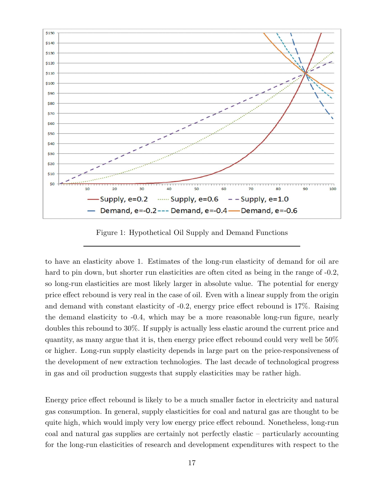

Figure 1: Hypothetical Oil Supply and Demand Functions

to have an elasticity above 1. Estimates of the long-run elasticity of demand for oil are hard to pin down, but shorter run elasticities are often cited as being in the range of  $-0.2$ , so long-run elasticities are most likely larger in absolute value. The potential for energy price effect rebound is very real in the case of oil. Even with a linear supply from the origin and demand with constant elasticity of -0.2, energy price effect rebound is 17%. Raising the demand elasticity to -0.4, which may be a more reasonable long-run figure, nearly doubles this rebound to 30%. If supply is actually less elastic around the current price and quantity, as many argue that it is, then energy price effect rebound could very well be 50% or higher. Long-run supply elasticity depends in large part on the price-responsiveness of the development of new extraction technologies. The last decade of technological progress in gas and oil production suggests that supply elasticities may be rather high.

Energy price effect rebound is likely to be a much smaller factor in electricity and natural gas consumption. In general, supply elasticities for coal and natural gas are thought to be quite high, which would imply very low energy price effect rebound. Nonetheless, long-run coal and natural gas supplies are certainly not perfectly elastic – particularly accounting for the long-run elasticities of research and development expenditures with respect to the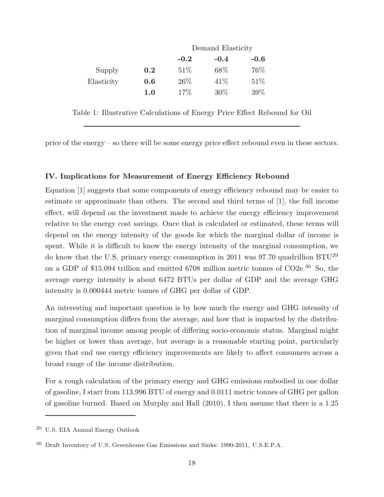|            |     | Demand Elasticity |        |        |  |
|------------|-----|-------------------|--------|--------|--|
|            |     | $-0.2$            | $-0.4$ | $-0.6$ |  |
| Supply     | 0.2 | 51%               | 68\%   | 76\%   |  |
| Elasticity | 0.6 | 26%               | 41\%   | 51\%   |  |
|            | 1.0 | 17\%              | $30\%$ | 39\%   |  |
|            |     |                   |        |        |  |

Table 1: Illustrative Calculations of Energy Price Effect Rebound for Oil

price of the energy – so there will be some energy price effect rebound even in these sectors.

#### IV. Implications for Measurement of Energy Efficiency Rebound

Equation [1] suggests that some components of energy efficiency rebound may be easier to estimate or approximate than others. The second and third terms of [1], the full income effect, will depend on the investment made to achieve the energy efficiency improvement relative to the energy cost savings. Once that is calculated or estimated, these terms will depend on the energy intensity of the goods for which the marginal dollar of income is spent. While it is difficult to know the energy intensity of the marginal consumption, we do know that the U.S. primary energy consumption in 2011 was 97.70 quadrillion BTU<sup>29</sup> on a GDP of \$15.094 trillion and emitted 6708 million metric tonnes of CO2e.<sup>30</sup> So, the average energy intensity is about 6472 BTUs per dollar of GDP and the average GHG intensity is 0.000444 metric tonnes of GHG per dollar of GDP.

An interesting and important question is by how much the energy and GHG intensity of marginal consumption differs from the average, and how that is impacted by the distribution of marginal income among people of differing socio-economic status. Marginal might be higher or lower than average, but average is a reasonable starting point, particularly given that end use energy efficiency improvements are likely to affect consumers across a broad range of the income distribution.

For a rough calculation of the primary energy and GHG emissions embodied in one dollar of gasoline, I start from 113,996 BTU of energy and 0.0111 metric tonnes of GHG per gallon of gasoline burned. Based on Murphy and Hall (2010), I then assume that there is a 1.25

<sup>29</sup> U.S. EIA Annual Energy Outlook

<sup>30</sup> Draft Inventory of U.S. Greenhouse Gas Emissions and Sinks: 1990-2011, U.S.E.P.A.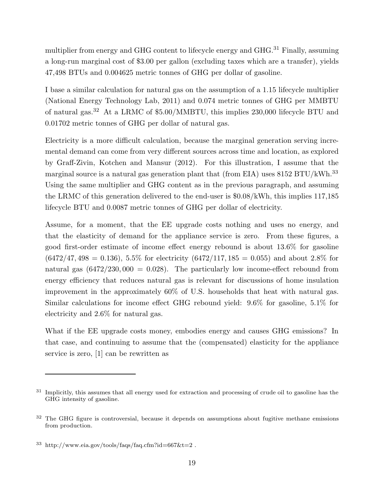multiplier from energy and GHG content to lifecycle energy and GHG.<sup>31</sup> Finally, assuming a long-run marginal cost of \$3.00 per gallon (excluding taxes which are a transfer), yields 47,498 BTUs and 0.004625 metric tonnes of GHG per dollar of gasoline.

I base a similar calculation for natural gas on the assumption of a 1.15 lifecycle multiplier (National Energy Technology Lab, 2011) and 0.074 metric tonnes of GHG per MMBTU of natural gas.<sup>32</sup> At a LRMC of \$5.00/MMBTU, this implies 230,000 lifecycle BTU and 0.01702 metric tonnes of GHG per dollar of natural gas.

Electricity is a more difficult calculation, because the marginal generation serving incremental demand can come from very different sources across time and location, as explored by Graff-Zivin, Kotchen and Mansur (2012). For this illustration, I assume that the marginal source is a natural gas generation plant that (from EIA) uses 8152 BTU/kWh.<sup>33</sup> Using the same multiplier and GHG content as in the previous paragraph, and assuming the LRMC of this generation delivered to the end-user is \$0.08/kWh, this implies 117,185 lifecycle BTU and 0.0087 metric tonnes of GHG per dollar of electricity.

Assume, for a moment, that the EE upgrade costs nothing and uses no energy, and that the elasticity of demand for the appliance service is zero. From these figures, a good first-order estimate of income effect energy rebound is about 13.6% for gasoline  $(6472/47, 498 = 0.136), 5.5\%$  for electricity  $(6472/117, 185 = 0.055)$  and about 2.8% for natural gas  $(6472/230,000 = 0.028)$ . The particularly low income-effect rebound from energy efficiency that reduces natural gas is relevant for discussions of home insulation improvement in the approximately 60% of U.S. households that heat with natural gas. Similar calculations for income effect GHG rebound yield: 9.6% for gasoline, 5.1% for electricity and 2.6% for natural gas.

What if the EE upgrade costs money, embodies energy and causes GHG emissions? In that case, and continuing to assume that the (compensated) elasticity for the appliance service is zero, [1] can be rewritten as

<sup>&</sup>lt;sup>31</sup> Implicitly, this assumes that all energy used for extraction and processing of crude oil to gasoline has the GHG intensity of gasoline.

<sup>&</sup>lt;sup>32</sup> The GHG figure is controversial, because it depends on assumptions about fugitive methane emissions from production.

 $33$  http://www.eia.gov/tools/faqs/faq.cfm?id=667&t=2.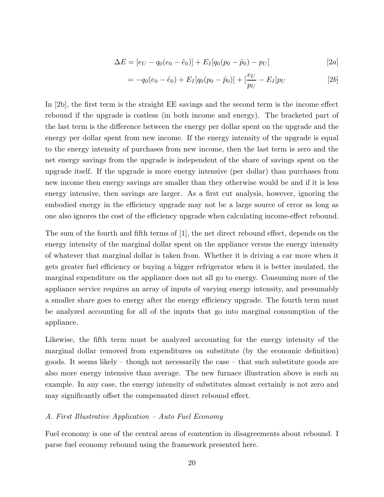$$
\Delta E = [e_U - q_0(e_0 - \tilde{e}_0)] + E_I[q_0(p_0 - \tilde{p}_0) - pv]
$$
\n[2*a*]

$$
= -q_0(e_0 - \tilde{e}_0) + E_I[q_0(p_0 - \tilde{p}_0)] + [\frac{e_U}{p_U} - E_I]p_U
$$
\n[2b]

In [2b], the first term is the straight EE savings and the second term is the income effect rebound if the upgrade is costless (in both income and energy). The bracketed part of the last term is the difference between the energy per dollar spent on the upgrade and the energy per dollar spent from new income. If the energy intensity of the upgrade is equal to the energy intensity of purchases from new income, then the last term is zero and the net energy savings from the upgrade is independent of the share of savings spent on the upgrade itself. If the upgrade is more energy intensive (per dollar) than purchases from new income then energy savings are smaller than they otherwise would be and if it is less energy intensive, then savings are larger. As a first cut analysis, however, ignoring the embodied energy in the efficiency upgrade may not be a large source of error as long as one also ignores the cost of the efficiency upgrade when calculating income-effect rebound.

The sum of the fourth and fifth terms of [1], the net direct rebound effect, depends on the energy intensity of the marginal dollar spent on the appliance versus the energy intensity of whatever that marginal dollar is taken from. Whether it is driving a car more when it gets greater fuel efficiency or buying a bigger refrigerator when it is better insulated, the marginal expenditure on the appliance does not all go to energy. Consuming more of the appliance service requires an array of inputs of varying energy intensity, and presumably a smaller share goes to energy after the energy efficiency upgrade. The fourth term must be analyzed accounting for all of the inputs that go into marginal consumption of the appliance.

Likewise, the fifth term must be analyzed accounting for the energy intensity of the marginal dollar removed from expenditures on substitute (by the economic definition) goods. It seems likely – though not necessarily the case – that such substitute goods are also more energy intensive than average. The new furnace illustration above is such an example. In any case, the energy intensity of substitutes almost certainly is not zero and may significantly offset the compensated direct rebound effect.

#### A. First Illustrative Application – Auto Fuel Economy

Fuel economy is one of the central areas of contention in disagreements about rebound. I parse fuel economy rebound using the framework presented here.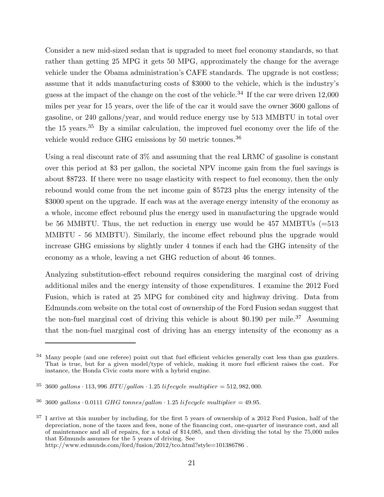Consider a new mid-sized sedan that is upgraded to meet fuel economy standards, so that rather than getting 25 MPG it gets 50 MPG, approximately the change for the average vehicle under the Obama administration's CAFE standards. The upgrade is not costless; assume that it adds manufacturing costs of \$3000 to the vehicle, which is the industry's guess at the impact of the change on the cost of the vehicle.<sup>34</sup> If the car were driven  $12,000$ miles per year for 15 years, over the life of the car it would save the owner 3600 gallons of gasoline, or 240 gallons/year, and would reduce energy use by 513 MMBTU in total over the 15 years.<sup>35</sup> By a similar calculation, the improved fuel economy over the life of the vehicle would reduce GHG emissions by 50 metric tonnes.<sup>36</sup>

Using a real discount rate of 3% and assuming that the real LRMC of gasoline is constant over this period at \$3 per gallon, the societal NPV income gain from the fuel savings is about \$8723. If there were no usage elasticity with respect to fuel economy, then the only rebound would come from the net income gain of \$5723 plus the energy intensity of the \$3000 spent on the upgrade. If each was at the average energy intensity of the economy as a whole, income effect rebound plus the energy used in manufacturing the upgrade would be 56 MMBTU. Thus, the net reduction in energy use would be  $457 \text{ MMBTUs } (=513$ MMBTU - 56 MMBTU). Similarly, the income effect rebound plus the upgrade would increase GHG emissions by slightly under 4 tonnes if each had the GHG intensity of the economy as a whole, leaving a net GHG reduction of about 46 tonnes.

Analyzing substitution-effect rebound requires considering the marginal cost of driving additional miles and the energy intensity of those expenditures. I examine the 2012 Ford Fusion, which is rated at 25 MPG for combined city and highway driving. Data from Edmunds.com website on the total cost of ownership of the Ford Fusion sedan suggest that the non-fuel marginal cost of driving this vehicle is about  $$0.190$  per mile.<sup>37</sup> Assuming that the non-fuel marginal cost of driving has an energy intensity of the economy as a

<sup>37</sup> I arrive at this number by including, for the first 5 years of ownership of a 2012 Ford Fusion, half of the depreciation, none of the taxes and fees, none of the financing cost, one-quarter of insurance cost, and all of maintenance and all of repairs, for a total of \$14,085, and then dividing the total by the 75,000 miles that Edmunds assumes for the 5 years of driving. See http://www.edmunds.com/ford/fusion/2012/tco.html?style=101386786 .

<sup>&</sup>lt;sup>34</sup> Many people (and one referee) point out that fuel efficient vehicles generally cost less than gas guzzlers. That is true, but for a given model/type of vehicle, making it more fuel efficient raises the cost. For instance, the Honda Civic costs more with a hybrid engine.

 $35\,3600\,$  gallons  $\cdot$  113, 996  $BTU/gallon \cdot 1.25$  lifecycle multiplier = 512, 982, 000.

<sup>&</sup>lt;sup>36</sup> 3600 gallons  $\cdot$  0.0111 GHG tonnes/gallon  $\cdot$  1.25 lifecycle multiplier = 49.95.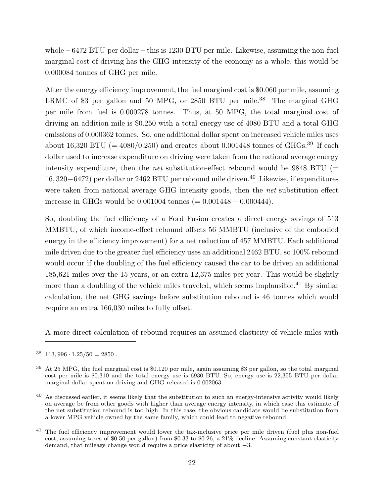whole  $-6472$  BTU per dollar  $-$  this is 1230 BTU per mile. Likewise, assuming the non-fuel marginal cost of driving has the GHG intensity of the economy as a whole, this would be 0.000084 tonnes of GHG per mile.

After the energy efficiency improvement, the fuel marginal cost is \$0.060 per mile, assuming LRMC of \$3 per gallon and 50 MPG, or 2850 BTU per mile.<sup>38</sup> The marginal GHG per mile from fuel is 0.000278 tonnes. Thus, at 50 MPG, the total marginal cost of driving an addition mile is \$0.250 with a total energy use of 4080 BTU and a total GHG emissions of 0.000362 tonnes. So, one additional dollar spent on increased vehicle miles uses about 16,320 BTU (=  $4080/0.250$ ) and creates about 0.001448 tonnes of GHGs.<sup>39</sup> If each dollar used to increase expenditure on driving were taken from the national average energy intensity expenditure, then the *net* substitution-effect rebound would be  $9848$  BTU (= 16, 320−6472) per dollar or 2462 BTU per rebound mile driven.<sup>40</sup> Likewise, if expenditures were taken from national average GHG intensity goods, then the net substitution effect increase in GHGs would be 0.001004 tonnes (= 0.001448 − 0.000444).

So, doubling the fuel efficiency of a Ford Fusion creates a direct energy savings of 513 MMBTU, of which income-effect rebound offsets 56 MMBTU (inclusive of the embodied energy in the efficiency improvement) for a net reduction of 457 MMBTU. Each additional mile driven due to the greater fuel efficiency uses an additional 2462 BTU, so 100% rebound would occur if the doubling of the fuel efficiency caused the car to be driven an additional 185,621 miles over the 15 years, or an extra 12,375 miles per year. This would be slightly more than a doubling of the vehicle miles traveled, which seems implausible.<sup>41</sup> By similar calculation, the net GHG savings before substitution rebound is 46 tonnes which would require an extra 166,030 miles to fully offset.

A more direct calculation of rebound requires an assumed elasticity of vehicle miles with

 $38 \quad 113,996 \cdot 1.25/50 = 2850$ .

<sup>39</sup> At 25 MPG, the fuel marginal cost is \$0.120 per mile, again assuming \$3 per gallon, so the total marginal cost per mile is \$0.310 and the total energy use is 6930 BTU. So, energy use is 22,355 BTU per dollar marginal dollar spent on driving and GHG released is 0.002063.

 $40$  As discussed earlier, it seems likely that the substitution to such an energy-intensive activity would likely on average be from other goods with higher than average energy intensity, in which case this estimate of the net substitution rebound is too high. In this case, the obvious candidate would be substitution from a lower MPG vehicle owned by the same family, which could lead to negative rebound.

<sup>&</sup>lt;sup>41</sup> The fuel efficiency improvement would lower the tax-inclusive price per mile driven (fuel plus non-fuel cost, assuming taxes of \$0.50 per gallon) from \$0.33 to \$0.26, a 21% decline. Assuming constant elasticity demand, that mileage change would require a price elasticity of about −3.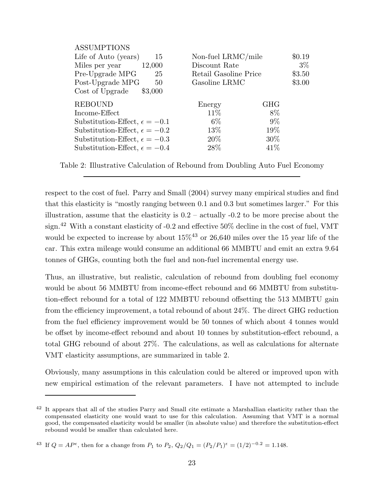| <b>ASSUMPTIONS</b>                     |                       |            |        |
|----------------------------------------|-----------------------|------------|--------|
| Life of Auto (years)<br>15             | Non-fuel LRMC/mile    |            | \$0.19 |
| Miles per year<br>12,000               | Discount Rate         | $3\%$      |        |
| Pre-Upgrade MPG<br>25                  | Retail Gasoline Price | \$3.50     |        |
| Post-Upgrade MPG<br>50                 | Gasoline LRMC         | \$3.00     |        |
| Cost of Upgrade<br>\$3,000             |                       |            |        |
| <b>REBOUND</b>                         | Energy                | <b>GHG</b> |        |
| Income-Effect                          | 11\%                  | 8\%        |        |
| Substitution-Effect, $\epsilon = -0.1$ | $6\%$                 | $9\%$      |        |
| Substitution-Effect, $\epsilon = -0.2$ | 13\%                  | 19%        |        |
| Substitution-Effect, $\epsilon = -0.3$ | $20\%$                | $30\%$     |        |
| Substitution-Effect, $\epsilon = -0.4$ | 28\%                  | 41\%       |        |
|                                        |                       |            |        |

Table 2: Illustrative Calculation of Rebound from Doubling Auto Fuel Economy

respect to the cost of fuel. Parry and Small (2004) survey many empirical studies and find that this elasticity is "mostly ranging between 0.1 and 0.3 but sometimes larger." For this illustration, assume that the elasticity is  $0.2$  – actually  $-0.2$  to be more precise about the sign.<sup>42</sup> With a constant elasticity of -0.2 and effective 50% decline in the cost of fuel, VMT would be expected to increase by about  $15\%^{43}$  or 26,640 miles over the 15 year life of the car. This extra mileage would consume an additional 66 MMBTU and emit an extra 9.64 tonnes of GHGs, counting both the fuel and non-fuel incremental energy use.

Thus, an illustrative, but realistic, calculation of rebound from doubling fuel economy would be about 56 MMBTU from income-effect rebound and 66 MMBTU from substitution-effect rebound for a total of 122 MMBTU rebound offsetting the 513 MMBTU gain from the efficiency improvement, a total rebound of about 24%. The direct GHG reduction from the fuel efficiency improvement would be 50 tonnes of which about 4 tonnes would be offset by income-effect rebound and about 10 tonnes by substitution-effect rebound, a total GHG rebound of about 27%. The calculations, as well as calculations for alternate VMT elasticity assumptions, are summarized in table 2.

Obviously, many assumptions in this calculation could be altered or improved upon with new empirical estimation of the relevant parameters. I have not attempted to include

<sup>&</sup>lt;sup>42</sup> It appears that all of the studies Parry and Small cite estimate a Marshallian elasticity rather than the compensated elasticity one would want to use for this calculation. Assuming that VMT is a normal good, the compensated elasticity would be smaller (in absolute value) and therefore the substitution-effect rebound would be smaller than calculated here.

<sup>&</sup>lt;sup>43</sup> If  $Q = AP^{\epsilon}$ , then for a change from  $P_1$  to  $P_2$ ,  $Q_2/Q_1 = (P_2/P_1)^{\epsilon} = (1/2)^{-0.2} = 1.148$ .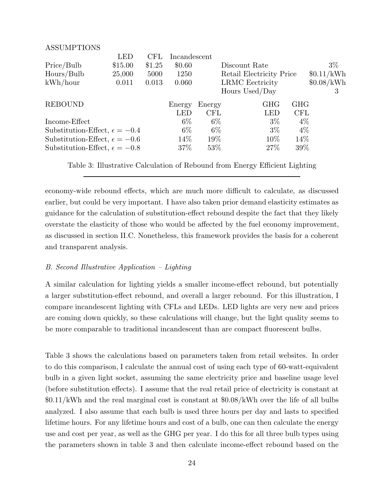| <b>ASSUMPTIONS</b>                     |            |        |              |           |                          |            |            |
|----------------------------------------|------------|--------|--------------|-----------|--------------------------|------------|------------|
|                                        | <b>LED</b> | CFL    | Incandescent |           |                          |            |            |
| Price/Bulb                             | \$15.00    | \$1.25 | \$0.60       |           | Discount Rate            |            | $3\%$      |
| Hours/Bulb                             | 25,000     | 5000   | 1250         |           | Retail Electricity Price |            | \$0.11/kWh |
| kWh/hour                               | 0.011      | 0.013  | 0.060        |           | <b>LRMC</b> Eectricity   |            | \$0.08/kWh |
|                                        |            |        |              |           | Hours Used/Day           |            | 3          |
| <b>REBOUND</b>                         |            |        | Energy       | Energy    | <b>GHG</b>               | <b>GHG</b> |            |
|                                        |            |        | <b>LED</b>   | $\rm CFL$ | <b>LED</b>               | <b>CFL</b> |            |
| Income-Effect                          |            |        | $6\%$        | $6\%$     | $3\%$                    | $4\%$      |            |
| Substitution-Effect, $\epsilon = -0.4$ |            |        | $6\%$        | $6\%$     | $3\%$                    | $4\%$      |            |
| Substitution-Effect, $\epsilon = -0.6$ |            |        | 14\%         | 19%       | 10\%                     | 14\%       |            |
| Substitution-Effect, $\epsilon = -0.8$ |            |        | $37\%$       | $53\%$    | 27%                      | 39\%       |            |
|                                        |            |        |              |           |                          |            |            |

Table 3: Illustrative Calculation of Rebound from Energy Efficient Lighting

economy-wide rebound effects, which are much more difficult to calculate, as discussed earlier, but could be very important. I have also taken prior demand elasticity estimates as guidance for the calculation of substitution-effect rebound despite the fact that they likely overstate the elasticity of those who would be affected by the fuel economy improvement, as discussed in section II.C. Nonetheless, this framework provides the basis for a coherent and transparent analysis.

#### B. Second Illustrative Application – Lighting

A similar calculation for lighting yields a smaller income-effect rebound, but potentially a larger substitution-effect rebound, and overall a larger rebound. For this illustration, I compare incandescent lighting with CFLs and LEDs. LED lights are very new and prices are coming down quickly, so these calculations will change, but the light quality seems to be more comparable to traditional incandescent than are compact fluorescent bulbs.

Table 3 shows the calculations based on parameters taken from retail websites. In order to do this comparison, I calculate the annual cost of using each type of 60-watt-equivalent bulb in a given light socket, assuming the same electricity price and baseline usage level (before substitution effects). I assume that the real retail price of electricity is constant at \$0.11/kWh and the real marginal cost is constant at \$0.08/kWh over the life of all bulbs analyzed. I also assume that each bulb is used three hours per day and lasts to specified lifetime hours. For any lifetime hours and cost of a bulb, one can then calculate the energy use and cost per year, as well as the GHG per year. I do this for all three bulb types using the parameters shown in table 3 and then calculate income-effect rebound based on the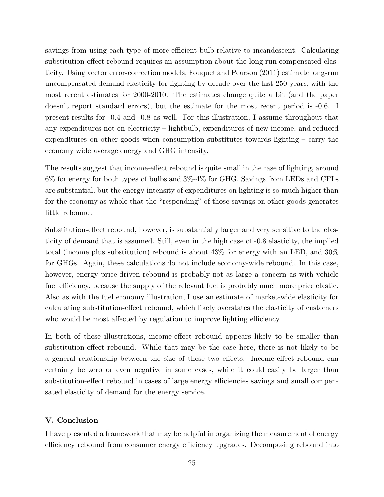savings from using each type of more-efficient bulb relative to incandescent. Calculating substitution-effect rebound requires an assumption about the long-run compensated elasticity. Using vector error-correction models, Fouquet and Pearson (2011) estimate long-run uncompensated demand elasticity for lighting by decade over the last 250 years, with the most recent estimates for 2000-2010. The estimates change quite a bit (and the paper doesn't report standard errors), but the estimate for the most recent period is -0.6. I present results for -0.4 and -0.8 as well. For this illustration, I assume throughout that any expenditures not on electricity – lightbulb, expenditures of new income, and reduced expenditures on other goods when consumption substitutes towards lighting – carry the economy wide average energy and GHG intensity.

The results suggest that income-effect rebound is quite small in the case of lighting, around 6% for energy for both types of bulbs and 3%-4% for GHG. Savings from LEDs and CFLs are substantial, but the energy intensity of expenditures on lighting is so much higher than for the economy as whole that the "respending" of those savings on other goods generates little rebound.

Substitution-effect rebound, however, is substantially larger and very sensitive to the elasticity of demand that is assumed. Still, even in the high case of -0.8 elasticity, the implied total (income plus substitution) rebound is about 43% for energy with an LED, and 30% for GHGs. Again, these calculations do not include economy-wide rebound. In this case, however, energy price-driven rebound is probably not as large a concern as with vehicle fuel efficiency, because the supply of the relevant fuel is probably much more price elastic. Also as with the fuel economy illustration, I use an estimate of market-wide elasticity for calculating substitution-effect rebound, which likely overstates the elasticity of customers who would be most affected by regulation to improve lighting efficiency.

In both of these illustrations, income-effect rebound appears likely to be smaller than substitution-effect rebound. While that may be the case here, there is not likely to be a general relationship between the size of these two effects. Income-effect rebound can certainly be zero or even negative in some cases, while it could easily be larger than substitution-effect rebound in cases of large energy efficiencies savings and small compensated elasticity of demand for the energy service.

## V. Conclusion

I have presented a framework that may be helpful in organizing the measurement of energy efficiency rebound from consumer energy efficiency upgrades. Decomposing rebound into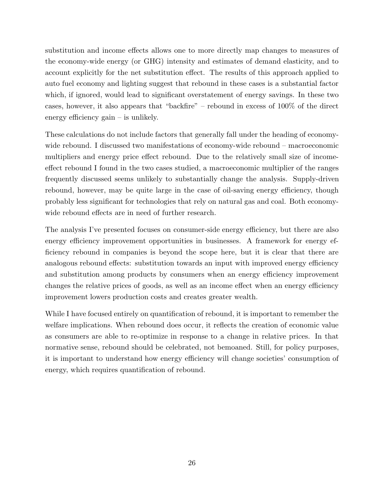substitution and income effects allows one to more directly map changes to measures of the economy-wide energy (or GHG) intensity and estimates of demand elasticity, and to account explicitly for the net substitution effect. The results of this approach applied to auto fuel economy and lighting suggest that rebound in these cases is a substantial factor which, if ignored, would lead to significant overstatement of energy savings. In these two cases, however, it also appears that "backfire" – rebound in excess of 100% of the direct energy efficiency gain – is unlikely.

These calculations do not include factors that generally fall under the heading of economywide rebound. I discussed two manifestations of economy-wide rebound – macroeconomic multipliers and energy price effect rebound. Due to the relatively small size of incomeeffect rebound I found in the two cases studied, a macroeconomic multiplier of the ranges frequently discussed seems unlikely to substantially change the analysis. Supply-driven rebound, however, may be quite large in the case of oil-saving energy efficiency, though probably less significant for technologies that rely on natural gas and coal. Both economywide rebound effects are in need of further research.

The analysis I've presented focuses on consumer-side energy efficiency, but there are also energy efficiency improvement opportunities in businesses. A framework for energy efficiency rebound in companies is beyond the scope here, but it is clear that there are analogous rebound effects: substitution towards an input with improved energy efficiency and substitution among products by consumers when an energy efficiency improvement changes the relative prices of goods, as well as an income effect when an energy efficiency improvement lowers production costs and creates greater wealth.

While I have focused entirely on quantification of rebound, it is important to remember the welfare implications. When rebound does occur, it reflects the creation of economic value as consumers are able to re-optimize in response to a change in relative prices. In that normative sense, rebound should be celebrated, not bemoaned. Still, for policy purposes, it is important to understand how energy efficiency will change societies' consumption of energy, which requires quantification of rebound.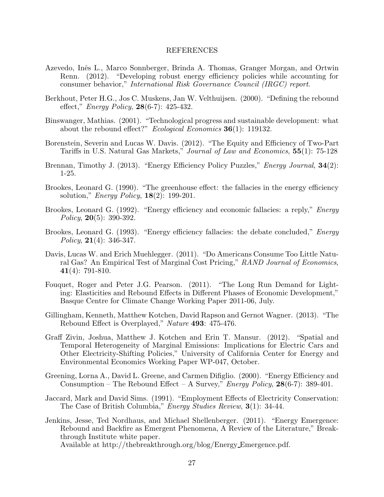#### REFERENCES

- Azevedo, Inˆes L., Marco Sonnberger, Brinda A. Thomas, Granger Morgan, and Ortwin Renn. (2012). "Developing robust energy efficiency policies while accounting for consumer behavior," International Risk Governance Council (IRGC) report.
- Berkhout, Peter H.G., Jos C. Muskens, Jan W. Velthuijsen. (2000). "Defining the rebound effect," *Energy Policy*, **28**(6-7): 425-432.
- Binswanger, Mathias. (2001). "Technological progress and sustainable development: what about the rebound effect?" *Ecological Economics* **36**(1): 119132.
- Borenstein, Severin and Lucas W. Davis. (2012). "The Equity and Efficiency of Two-Part Tariffs in U.S. Natural Gas Markets," Journal of Law and Economics, 55(1): 75-128
- Brennan, Timothy J. (2013). "Energy Efficiency Policy Puzzles," *Energy Journal*, **34**(2): 1-25.
- Brookes, Leonard G. (1990). "The greenhouse effect: the fallacies in the energy efficiency solution," *Energy Policy*, **18**(2): **199-201**.
- Brookes, Leonard G. (1992). "Energy efficiency and economic fallacies: a reply," *Energy* Policy,  $20(5)$ : 390-392.
- Brookes, Leonard G. (1993). "Energy efficiency fallacies: the debate concluded," *Energy* Policy, 21(4): 346-347.
- Davis, Lucas W. and Erich Muehlegger. (2011). "Do Americans Consume Too Little Natural Gas? An Empirical Test of Marginal Cost Pricing," RAND Journal of Economics, 41(4): 791-810.
- Fouquet, Roger and Peter J.G. Pearson. (2011). "The Long Run Demand for Lighting: Elasticities and Rebound Effects in Different Phases of Economic Development," Basque Centre for Climate Change Working Paper 2011-06, July.
- Gillingham, Kenneth, Matthew Kotchen, David Rapson and Gernot Wagner. (2013). "The Rebound Effect is Overplayed," Nature 493: 475-476.
- Graff Zivin, Joshua, Matthew J. Kotchen and Erin T. Mansur. (2012). "Spatial and Temporal Heterogeneity of Marginal Emissions: Implications for Electric Cars and Other Electricity-Shifting Policies," University of California Center for Energy and Environmental Economics Working Paper WP-047, October.
- Greening, Lorna A., David L. Greene, and Carmen Difiglio. (2000). "Energy Efficiency and Consumption – The Rebound Effect – A Survey," *Energy Policy*, **28**(6-7): 389-401.
- Jaccard, Mark and David Sims. (1991). "Employment Effects of Electricity Conservation: The Case of British Columbia," *Energy Studies Review*, **3**(1): 34-44.
- Jenkins, Jesse, Ted Nordhaus, and Michael Shellenberger. (2011). "Energy Emergence: Rebound and Backfire as Emergent Phenomena, A Review of the Literature," Breakthrough Institute white paper.

Available at http://thebreakthrough.org/blog/Energy Emergence.pdf.